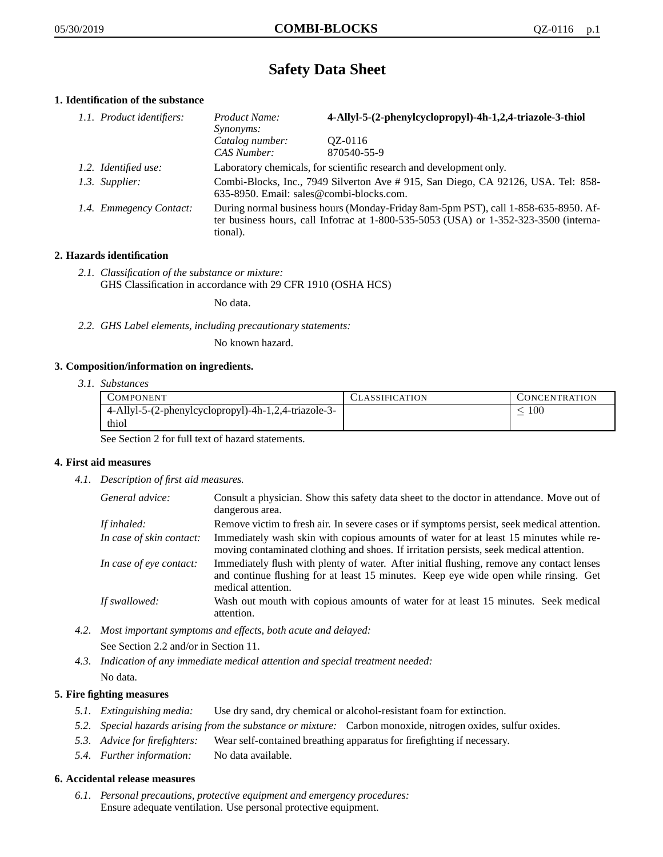# **Safety Data Sheet**

# **1. Identification of the substance**

| 1.1. Product identifiers: | Product Name:<br>Synonyms:                                                                                                                                                              | 4-Allyl-5-(2-phenylcyclopropyl)-4h-1,2,4-triazole-3-thiol           |
|---------------------------|-----------------------------------------------------------------------------------------------------------------------------------------------------------------------------------------|---------------------------------------------------------------------|
|                           | Catalog number:<br>CAS Number:                                                                                                                                                          | OZ-0116<br>870540-55-9                                              |
| 1.2. Identified use:      |                                                                                                                                                                                         | Laboratory chemicals, for scientific research and development only. |
| 1.3. Supplier:            | Combi-Blocks, Inc., 7949 Silverton Ave #915, San Diego, CA 92126, USA. Tel: 858-<br>635-8950. Email: sales@combi-blocks.com.                                                            |                                                                     |
| 1.4. Emmegency Contact:   | During normal business hours (Monday-Friday 8am-5pm PST), call 1-858-635-8950. Af-<br>ter business hours, call Infotrac at 1-800-535-5053 (USA) or 1-352-323-3500 (interna-<br>tional). |                                                                     |

# **2. Hazards identification**

*2.1. Classification of the substance or mixture:* GHS Classification in accordance with 29 CFR 1910 (OSHA HCS)

No data.

*2.2. GHS Label elements, including precautionary statements:*

No known hazard.

## **3. Composition/information on ingredients.**

*3.1. Substances*

| COMPONENT                                            | <b>ASSIFICATION</b> | CONCENTRATION |
|------------------------------------------------------|---------------------|---------------|
| 4-Allyl-5-(2-phenylcyclopropyl)-4h-1,2,4-triazole-3- |                     | 00            |
| thiol                                                |                     |               |

See Section 2 for full text of hazard statements.

## **4. First aid measures**

*4.1. Description of first aid measures.*

| General advice:          | Consult a physician. Show this safety data sheet to the doctor in attendance. Move out of<br>dangerous area.                                                                                            |
|--------------------------|---------------------------------------------------------------------------------------------------------------------------------------------------------------------------------------------------------|
| If inhaled:              | Remove victim to fresh air. In severe cases or if symptoms persist, seek medical attention.                                                                                                             |
| In case of skin contact: | Immediately wash skin with copious amounts of water for at least 15 minutes while re-<br>moving contaminated clothing and shoes. If irritation persists, seek medical attention.                        |
| In case of eye contact:  | Immediately flush with plenty of water. After initial flushing, remove any contact lenses<br>and continue flushing for at least 15 minutes. Keep eye wide open while rinsing. Get<br>medical attention. |
| If swallowed:            | Wash out mouth with copious amounts of water for at least 15 minutes. Seek medical<br>attention.                                                                                                        |

*4.2. Most important symptoms and effects, both acute and delayed:*

See Section 2.2 and/or in Section 11.

*4.3. Indication of any immediate medical attention and special treatment needed:* No data.

## **5. Fire fighting measures**

- *5.1. Extinguishing media:* Use dry sand, dry chemical or alcohol-resistant foam for extinction.
- *5.2. Special hazards arising from the substance or mixture:* Carbon monoxide, nitrogen oxides, sulfur oxides.
- *5.3. Advice for firefighters:* Wear self-contained breathing apparatus for firefighting if necessary.
- *5.4. Further information:* No data available.

# **6. Accidental release measures**

*6.1. Personal precautions, protective equipment and emergency procedures:* Ensure adequate ventilation. Use personal protective equipment.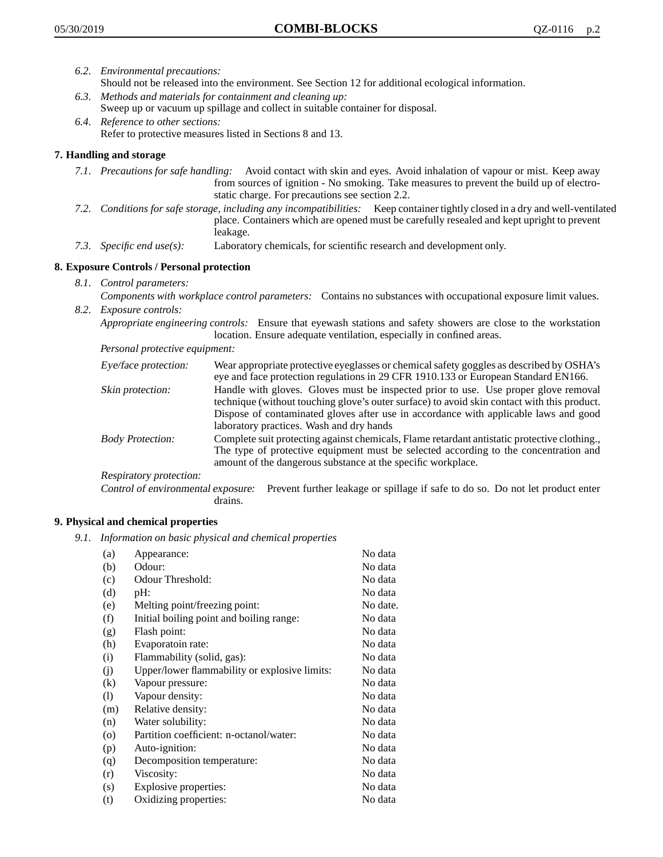- *6.2. Environmental precautions:* Should not be released into the environment. See Section 12 for additional ecological information.
- *6.3. Methods and materials for containment and cleaning up:* Sweep up or vacuum up spillage and collect in suitable container for disposal.
- *6.4. Reference to other sections:* Refer to protective measures listed in Sections 8 and 13.

# **7. Handling and storage**

- *7.1. Precautions for safe handling:* Avoid contact with skin and eyes. Avoid inhalation of vapour or mist. Keep away from sources of ignition - No smoking. Take measures to prevent the build up of electrostatic charge. For precautions see section 2.2.
- *7.2. Conditions for safe storage, including any incompatibilities:* Keep container tightly closed in a dry and well-ventilated place. Containers which are opened must be carefully resealed and kept upright to prevent leakage.
- *7.3. Specific end use(s):* Laboratory chemicals, for scientific research and development only.

## **8. Exposure Controls / Personal protection**

- *8.1. Control parameters:*
- *Components with workplace control parameters:* Contains no substances with occupational exposure limit values. *8.2. Exposure controls:*

*Appropriate engineering controls:* Ensure that eyewash stations and safety showers are close to the workstation location. Ensure adequate ventilation, especially in confined areas.

*Personal protective equipment:*

| Eye/face protection:    | Wear appropriate protective eyeglasses or chemical safety goggles as described by OSHA's<br>eye and face protection regulations in 29 CFR 1910.133 or European Standard EN166.                                                                                                                                         |
|-------------------------|------------------------------------------------------------------------------------------------------------------------------------------------------------------------------------------------------------------------------------------------------------------------------------------------------------------------|
| Skin protection:        | Handle with gloves. Gloves must be inspected prior to use. Use proper glove removal<br>technique (without touching glove's outer surface) to avoid skin contact with this product.<br>Dispose of contaminated gloves after use in accordance with applicable laws and good<br>laboratory practices. Wash and dry hands |
| <b>Body Protection:</b> | Complete suit protecting against chemicals, Flame retardant antistatic protective clothing.,<br>The type of protective equipment must be selected according to the concentration and<br>amount of the dangerous substance at the specific workplace.                                                                   |
| Respiratory protection: |                                                                                                                                                                                                                                                                                                                        |

Control of environmental exposure: Prevent further leakage or spillage if safe to do so. Do not let product enter drains.

## **9. Physical and chemical properties**

*9.1. Information on basic physical and chemical properties*

| (a)      | Appearance:                                   | No data  |
|----------|-----------------------------------------------|----------|
| (b)      | Odour:                                        | No data  |
| (c)      | Odour Threshold:                              | No data  |
| (d)      | pH:                                           | No data  |
| (e)      | Melting point/freezing point:                 | No date. |
| (f)      | Initial boiling point and boiling range:      | No data  |
| (g)      | Flash point:                                  | No data  |
| (h)      | Evaporatoin rate:                             | No data  |
| (i)      | Flammability (solid, gas):                    | No data  |
| (j)      | Upper/lower flammability or explosive limits: | No data  |
| $\rm(k)$ | Vapour pressure:                              | No data  |
| (1)      | Vapour density:                               | No data  |
| (m)      | Relative density:                             | No data  |
| (n)      | Water solubility:                             | No data  |
| $\circ$  | Partition coefficient: n-octanol/water:       | No data  |
| (p)      | Auto-ignition:                                | No data  |
| (q)      | Decomposition temperature:                    | No data  |
| (r)      | Viscosity:                                    | No data  |
| (s)      | Explosive properties:                         | No data  |
| (t)      | Oxidizing properties:                         | No data  |